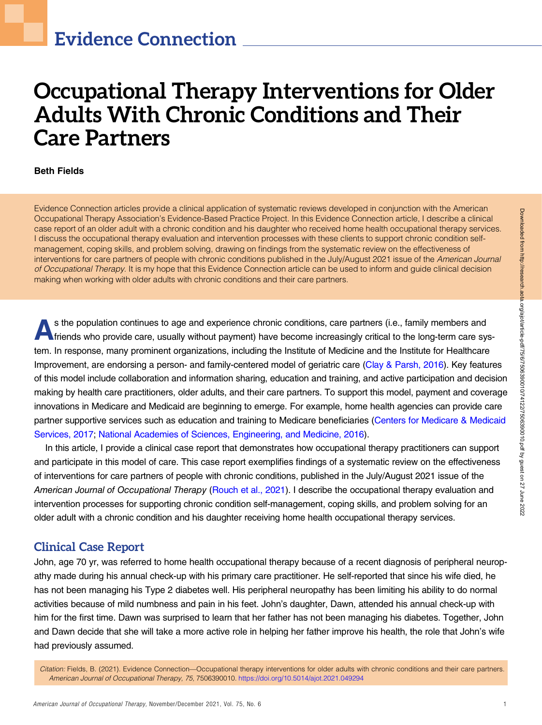# Occupational Therapy Interventions for Older Adults With Chronic Conditions and Their Care Partners

#### Beth Fields

Evidence Connection articles provide a clinical application of systematic reviews developed in conjunction with the American Occupational Therapy Association's Evidence-Based Practice Project. In this Evidence Connection article, I describe a clinical case report of an older adult with a chronic condition and his daughter who received home health occupational therapy services. I discuss the occupational therapy evaluation and intervention processes with these clients to support chronic condition selfmanagement, coping skills, and problem solving, drawing on findings from the systematic review on the effectiveness of interventions for care partners of people with chronic conditions published in the July/August 2021 issue of the American Journal of Occupational Therapy. It is my hope that this Evidence Connection article can be used to inform and guide clinical decision making when working with older adults with chronic conditions and their care partners.

s the population continues to age and experience chronic conditions, care partners (i.e., family members and<br>friends who provide care, usually without payment) have become increasingly critical to the long-term care system. In response, many prominent organizations, including the Institute of Medicine and the Institute for Healthcare Improvement, are endorsing a person- and family-centered model of geriatric care ([Clay & Parsh, 2016\)](#page-3-0). Key features of this model include collaboration and information sharing, education and training, and active participation and decision making by health care practitioners, older adults, and their care partners. To support this model, payment and coverage innovations in Medicare and Medicaid are beginning to emerge. For example, home health agencies can provide care partner supportive services such as education and training to Medicare beneficiaries [\(Centers for Medicare & Medicaid](#page-3-0) [Services, 2017;](#page-3-0) [National Academies of Sciences, Engineering, and Medicine, 2016\)](#page-3-0).

In this article, I provide a clinical case report that demonstrates how occupational therapy practitioners can support and participate in this model of care. This case report exemplifies findings of a systematic review on the effectiveness of interventions for care partners of people with chronic conditions, published in the July/August 2021 issue of the American Journal of Occupational Therapy [\(Rouch et al., 2021](#page-3-0)). I describe the occupational therapy evaluation and intervention processes for supporting chronic condition self-management, coping skills, and problem solving for an older adult with a chronic condition and his daughter receiving home health occupational therapy services.

## Clinical Case Report

John, age 70 yr, was referred to home health occupational therapy because of a recent diagnosis of peripheral neuropathy made during his annual check-up with his primary care practitioner. He self-reported that since his wife died, he has not been managing his Type 2 diabetes well. His peripheral neuropathy has been limiting his ability to do normal activities because of mild numbness and pain in his feet. John's daughter, Dawn, attended his annual check-up with him for the first time. Dawn was surprised to learn that her father has not been managing his diabetes. Together, John and Dawn decide that she will take a more active role in helping her father improve his health, the role that John's wife had previously assumed.

Citation: Fields, B. (2021). Evidence Connection—Occupational therapy interventions for older adults with chronic conditions and their care partners. American Journal of Occupational Therapy, 75, 7506390010. https://doi.org/10.5014/ajot.2021.049294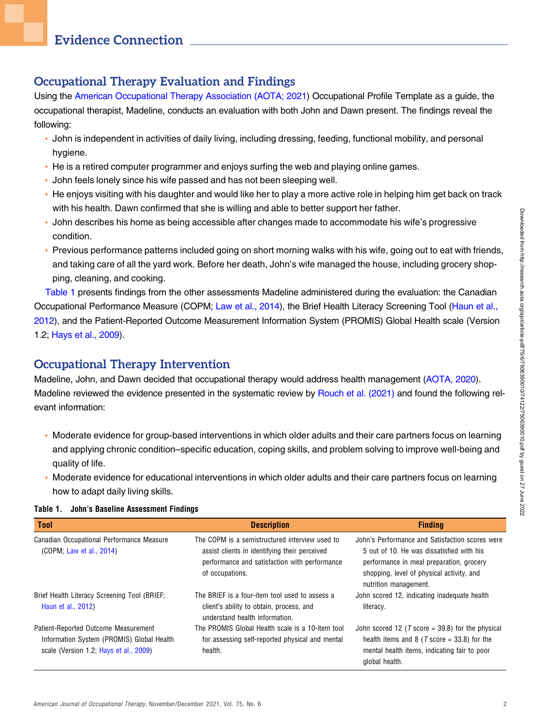# Occupational Therapy Evaluation and Findings

Using the [American Occupational Therapy Association \(AOTA; 2021](#page-3-0)) Occupational Profile Template as a guide, the occupational therapist, Madeline, conducts an evaluation with both John and Dawn present. The findings reveal the following:

- John is independent in activities of daily living, including dressing, feeding, functional mobility, and personal hygiene.
- He is a retired computer programmer and enjoys surfing the web and playing online games.
- John feels lonely since his wife passed and has not been sleeping well.
- He enjoys visiting with his daughter and would like her to play a more active role in helping him get back on track with his health. Dawn confirmed that she is willing and able to better support her father.
- John describes his home as being accessible after changes made to accommodate his wife's progressive condition.
- Previous performance patterns included going on short morning walks with his wife, going out to eat with friends, and taking care of all the yard work. Before her death, John's wife managed the house, including grocery shopping, cleaning, and cooking.

Table 1 presents findings from the other assessments Madeline administered during the evaluation: the Canadian Occupational Performance Measure (COPM; [Law et al., 2014\)](#page-3-0), the Brief Health Literacy Screening Tool [\(Haun et al.,](#page-3-0) [2012](#page-3-0)), and the Patient-Reported Outcome Measurement Information System (PROMIS) Global Health scale (Version 1.2; [Hays et al., 2009\)](#page-3-0).

# Occupational Therapy Intervention

Madeline, John, and Dawn decided that occupational therapy would address health management [\(AOTA, 2020\)](#page-3-0). Madeline reviewed the evidence presented in the systematic review by [Rouch et al. \(2021\)](#page-3-0) and found the following relevant information:

- Moderate evidence for group-based interventions in which older adults and their care partners focus on learning and applying chronic condition–specific education, coping skills, and problem solving to improve well-being and quality of life.
- Moderate evidence for educational interventions in which older adults and their care partners focus on learning how to adapt daily living skills.

| <b>Tool</b>                                                                                                                 | <b>Description</b>                                                                                                                                                  | <b>Finding</b>                                                                                                                                                                                                 |
|-----------------------------------------------------------------------------------------------------------------------------|---------------------------------------------------------------------------------------------------------------------------------------------------------------------|----------------------------------------------------------------------------------------------------------------------------------------------------------------------------------------------------------------|
| Canadian Occupational Performance Measure<br>(COPM; Law et al., 2014)                                                       | The COPM is a semistructured interview used to<br>assist clients in identifying their perceived<br>performance and satisfaction with performance<br>of occupations. | John's Performance and Satisfaction scores were<br>5 out of 10. He was dissatisfied with his<br>performance in meal preparation, grocery<br>shopping, level of physical activity, and<br>nutrition management. |
| Brief Health Literacy Screening Tool (BRIEF;<br>Haun et al., 2012)                                                          | The BRIEF is a four-item tool used to assess a<br>client's ability to obtain, process, and<br>understand health information.                                        | John scored 12, indicating inadequate health<br>literacy.                                                                                                                                                      |
| Patient-Reported Outcome Measurement<br>Information System (PROMIS) Global Health<br>scale (Version 1.2; Hays et al., 2009) | The PROMIS Global Health scale is a 10-item tool<br>for assessing self-reported physical and mental<br>health.                                                      | John scored 12 ( $T$ score = 39.8) for the physical<br>health items and 8 ( $T$ score = 33.8) for the<br>mental health items, indicating fair to poor<br>global health.                                        |

#### Table 1. John's Baseline Assessment Findings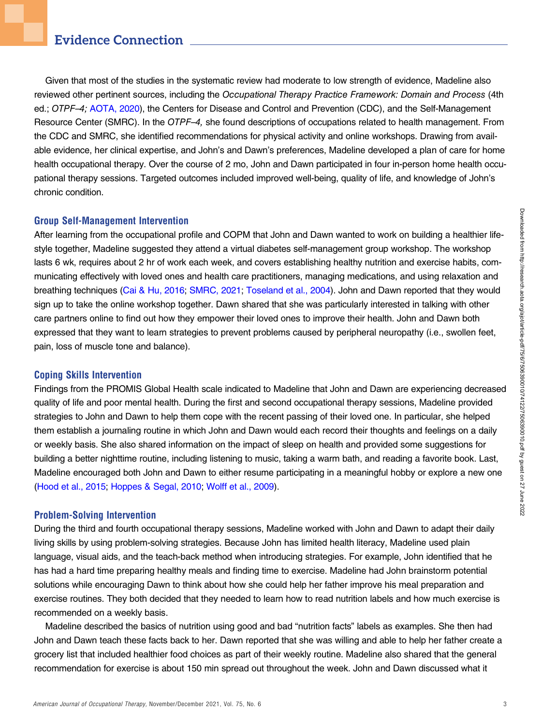## Evidence Connection

Given that most of the studies in the systematic review had moderate to low strength of evidence, Madeline also reviewed other pertinent sources, including the Occupational Therapy Practice Framework: Domain and Process (4th ed.; OTPF–4; [AOTA, 2020\)](#page-3-0), the Centers for Disease and Control and Prevention (CDC), and the Self-Management Resource Center (SMRC). In the OTPF-4, she found descriptions of occupations related to health management. From the CDC and SMRC, she identified recommendations for physical activity and online workshops. Drawing from available evidence, her clinical expertise, and John's and Dawn's preferences, Madeline developed a plan of care for home health occupational therapy. Over the course of 2 mo, John and Dawn participated in four in-person home health occupational therapy sessions. Targeted outcomes included improved well-being, quality of life, and knowledge of John's chronic condition.

#### Group Self-Management Intervention

After learning from the occupational profile and COPM that John and Dawn wanted to work on building a healthier lifestyle together, Madeline suggested they attend a virtual diabetes self-management group workshop. The workshop lasts 6 wk, requires about 2 hr of work each week, and covers establishing healthy nutrition and exercise habits, communicating effectively with loved ones and health care practitioners, managing medications, and using relaxation and breathing techniques ([Cai & Hu, 2016](#page-3-0); [SMRC, 2021](#page-3-0); [Toseland et al., 2004\)](#page-3-0). John and Dawn reported that they would sign up to take the online workshop together. Dawn shared that she was particularly interested in talking with other care partners online to find out how they empower their loved ones to improve their health. John and Dawn both expressed that they want to learn strategies to prevent problems caused by peripheral neuropathy (i.e., swollen feet, pain, loss of muscle tone and balance).

#### Coping Skills Intervention

Findings from the PROMIS Global Health scale indicated to Madeline that John and Dawn are experiencing decreased quality of life and poor mental health. During the first and second occupational therapy sessions, Madeline provided strategies to John and Dawn to help them cope with the recent passing of their loved one. In particular, she helped them establish a journaling routine in which John and Dawn would each record their thoughts and feelings on a daily or weekly basis. She also shared information on the impact of sleep on health and provided some suggestions for building a better nighttime routine, including listening to music, taking a warm bath, and reading a favorite book. Last, Madeline encouraged both John and Dawn to either resume participating in a meaningful hobby or explore a new one [\(Hood et al., 2015](#page-3-0); [Hoppes & Segal, 2010](#page-3-0); [Wolff et al., 2009\)](#page-4-0).

#### Problem-Solving Intervention

During the third and fourth occupational therapy sessions, Madeline worked with John and Dawn to adapt their daily living skills by using problem-solving strategies. Because John has limited health literacy, Madeline used plain language, visual aids, and the teach-back method when introducing strategies. For example, John identified that he has had a hard time preparing healthy meals and finding time to exercise. Madeline had John brainstorm potential solutions while encouraging Dawn to think about how she could help her father improve his meal preparation and exercise routines. They both decided that they needed to learn how to read nutrition labels and how much exercise is recommended on a weekly basis.

Madeline described the basics of nutrition using good and bad "nutrition facts" labels as examples. She then had John and Dawn teach these facts back to her. Dawn reported that she was willing and able to help her father create a grocery list that included healthier food choices as part of their weekly routine. Madeline also shared that the general recommendation for exercise is about 150 min spread out throughout the week. John and Dawn discussed what it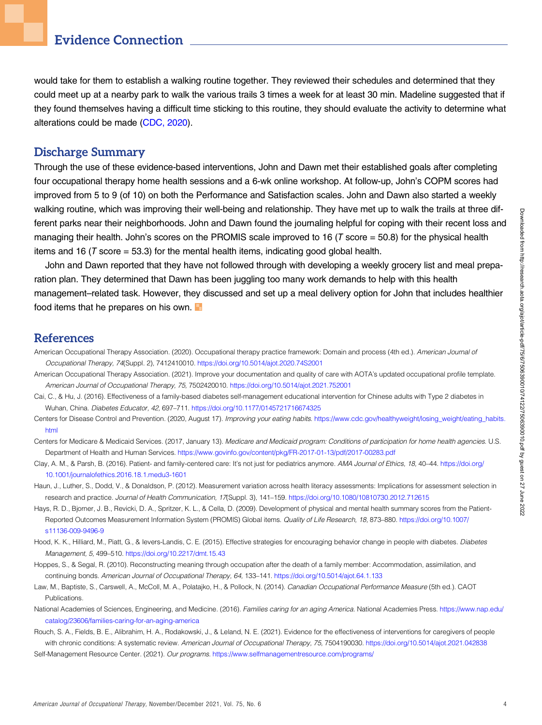# <span id="page-3-0"></span>Evidence Connection

would take for them to establish a walking routine together. They reviewed their schedules and determined that they could meet up at a nearby park to walk the various trails 3 times a week for at least 30 min. Madeline suggested that if they found themselves having a difficult time sticking to this routine, they should evaluate the activity to determine what alterations could be made (CDC, 2020).

## Discharge Summary

Through the use of these evidence-based interventions, John and Dawn met their established goals after completing four occupational therapy home health sessions and a 6-wk online workshop. At follow-up, John's COPM scores had improved from 5 to 9 (of 10) on both the Performance and Satisfaction scales. John and Dawn also started a weekly walking routine, which was improving their well-being and relationship. They have met up to walk the trails at three different parks near their neighborhoods. John and Dawn found the journaling helpful for coping with their recent loss and managing their health. John's scores on the PROMIS scale improved to 16 ( $T$  score = 50.8) for the physical health items and 16 ( $T$  score = 53.3) for the mental health items, indicating good global health.

John and Dawn reported that they have not followed through with developing a weekly grocery list and meal preparation plan. They determined that Dawn has been juggling too many work demands to help with this health management–related task. However, they discussed and set up a meal delivery option for John that includes healthier food items that he prepares on his own.

## References

- American Occupational Therapy Association. (2020). Occupational therapy practice framework: Domain and process (4th ed.). American Journal of Occupational Therapy, 74(Suppl. 2), 7412410010. <https://doi.org/10.5014/ajot.2020.74S2001>
- American Occupational Therapy Association. (2021). Improve your documentation and quality of care with AOTA's updated occupational profile template. American Journal of Occupational Therapy, 75, 7502420010. <https://doi.org/10.5014/ajot.2021.752001>
- Cai, C., & Hu, J. (2016). Effectiveness of a family-based diabetes self-management educational intervention for Chinese adults with Type 2 diabetes in Wuhan, China. Diabetes Educator, 42, 697–711. [https://doi.org/10.1177/0145721716674325](http://dx.doi.org/https://doi.org/10.1177/0145721716674325)
- Centers for Disease Control and Prevention. (2020, August 17). Improving your eating habits. [https://www.cdc.gov/healthyweight/losing\\_weight/eating\\_habits.](https://www.cdc.gov/healthyweight/losing_weight/eating_habits.html) [html](https://www.cdc.gov/healthyweight/losing_weight/eating_habits.html)
- Centers for Medicare & Medicaid Services. (2017, January 13). Medicare and Medicaid program: Conditions of participation for home health agencies. U.S. Department of Health and Human Services. <https://www.govinfo.gov/content/pkg/FR-2017-01-13/pdf/2017-00283.pdf>
- Clay, A. M., & Parsh, B. (2016). Patient- and family-centered care: It's not just for pediatrics anymore. AMA Journal of Ethics, 18, 40-44. [https://doi.org/](http://dx.doi.org/https://doi.org/10.1001/journalofethics.2016.18.1.medu3-1601) [10.1001/journalofethics.2016.18.1.medu3-1601](http://dx.doi.org/https://doi.org/10.1001/journalofethics.2016.18.1.medu3-1601)
- Haun, J., Luther, S., Dodd, V., & Donaldson, P. (2012). Measurement variation across health literacy assessments: Implications for assessment selection in research and practice. Journal of Health Communication, 17(Suppl. 3), 141–159. <https://doi.org/10.1080/10810730.2012.712615>
- Hays, R. D., Bjorner, J. B., Revicki, D. A., Spritzer, K. L., & Cella, D. (2009). Development of physical and mental health summary scores from the PatientReported Outcomes Measurement Information System (PROMIS) Global items. Quality of Life Research, 18, 873-880. [https://doi.org/10.1007/](http://dx.doi.org/https://doi.org/10.1007/s11136-009-9496-9) [s11136-009-9496-9](http://dx.doi.org/https://doi.org/10.1007/s11136-009-9496-9)
- Hood, K. K., Hilliard, M., Piatt, G., & Ievers-Landis, C. E. (2015). Effective strategies for encouraging behavior change in people with diabetes. Diabetes Management, 5, 499–510. [https://doi.org/10.2217/dmt.15.43](http://dx.doi.org/https://doi.org/10.2217/dmt.15.43)
- Hoppes, S., & Segal, R. (2010). Reconstructing meaning through occupation after the death of a family member: Accommodation, assimilation, and continuing bonds. American Journal of Occupational Therapy, 64, 133–141. [https://doi.org/10.5014/ajot.64.1.133](http://dx.doi.org/https://doi.org/10.5014/ajot.64.1.133)
- Law, M., Baptiste, S., Carswell, A., McColl, M. A., Polatajko, H., & Pollock, N. (2014). Canadian Occupational Performance Measure (5th ed.). CAOT Publications.
- National Academies of Sciences, Engineering, and Medicine. (2016). Families caring for an aging America. National Academies Press. [https://www.nap.edu/](https://www.nap.edu/catalog/23606/families-caring-for-an-aging-america) [catalog/23606/families-caring-for-an-aging-america](https://www.nap.edu/catalog/23606/families-caring-for-an-aging-america)
- Rouch, S. A., Fields, B. E., Alibrahim, H. A., Rodakowski, J., & Leland, N. E. (2021). Evidence for the effectiveness of interventions for caregivers of people with chronic conditions: A systematic review. American Journal of Occupational Therapy, 75, 7504190030. [https://doi.org/10.5014/ajot.2021.042838](http://dx.doi.org/https://doi.org/10.5014/ajot.2021.042838)
- Self-Management Resource Center. (2021). Our programs. <https://www.selfmanagementresource.com/programs/>